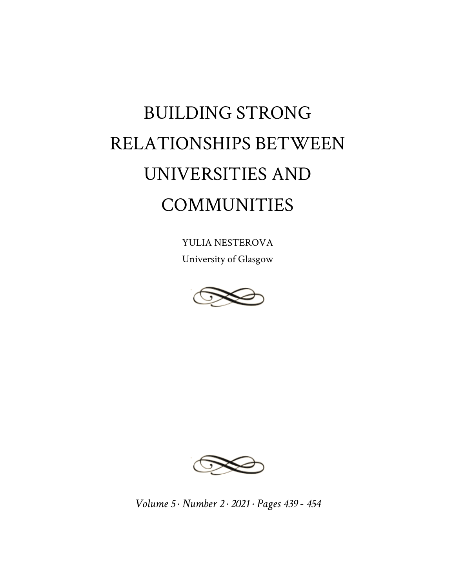## BUILDING STRONG RELATIONSHIPS BETWEEN UNIVERSITIES AND COMMUNITIES

YULIA NESTEROVA University of Glasgow





*Volume 5 · Number 2 · 2021 · Pages 439 - 454*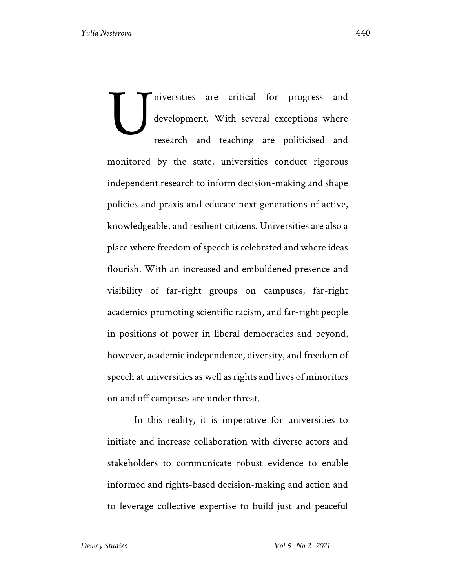niversities are critical for progress and development. With several exceptions where research and teaching are politicised and monitored by the state, universities conduct rigorous independent research to inform decision-making and shape policies and praxis and educate next generations of active, knowledgeable, and resilient citizens. Universities are also a place where freedom of speech is celebrated and where ideas flourish. With an increased and emboldened presence and visibility of far-right groups on campuses, far-right academics promoting scientific racism, and far-right people in positions of power in liberal democracies and beyond, however, academic independence, diversity, and freedom of speech at universities as well as rights and lives of minorities on and off campuses are under threat. U

In this reality, it is imperative for universities to initiate and increase collaboration with diverse actors and stakeholders to communicate robust evidence to enable informed and rights-based decision-making and action and to leverage collective expertise to build just and peaceful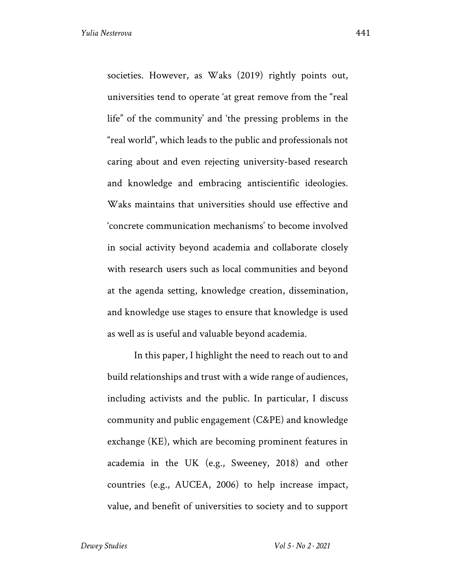societies. However, as Waks (2019) rightly points out, universities tend to operate 'at great remove from the "real life" of the community' and 'the pressing problems in the "real world", which leads to the public and professionals not caring about and even rejecting university-based research and knowledge and embracing antiscientific ideologies. Waks maintains that universities should use effective and 'concrete communication mechanisms' to become involved in social activity beyond academia and collaborate closely with research users such as local communities and beyond at the agenda setting, knowledge creation, dissemination, and knowledge use stages to ensure that knowledge is used as well as is useful and valuable beyond academia.

In this paper, I highlight the need to reach out to and build relationships and trust with a wide range of audiences, including activists and the public. In particular, I discuss community and public engagement (C&PE) and knowledge exchange (KE), which are becoming prominent features in academia in the UK (e.g., Sweeney, 2018) and other countries (e.g., AUCEA, 2006) to help increase impact, value, and benefit of universities to society and to support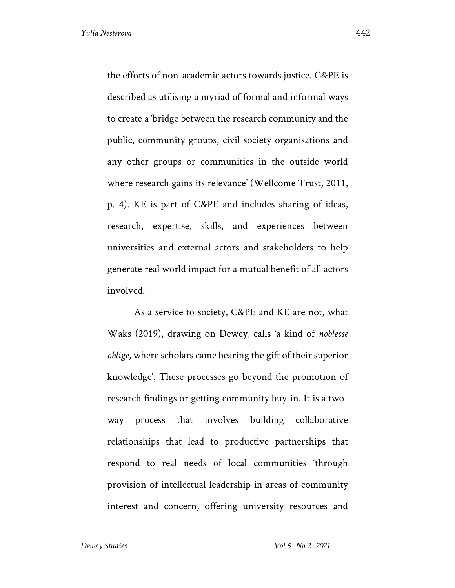the efforts of non-academic actors towards justice. C&PE is described as utilising a myriad of formal and informal ways to create a 'bridge between the research community and the public, community groups, civil society organisations and any other groups or communities in the outside world where research gains its relevance' (Wellcome Trust, 2011, p. 4). KE is part of C&PE and includes sharing of ideas, research, expertise, skills, and experiences between universities and external actors and stakeholders to help generate real world impact for a mutual benefit of all actors involved.

As a service to society, C&PE and KE are not, what Waks (2019), drawing on Dewey, calls 'a kind of *noblesse oblige*, where scholars came bearing the gift of their superior knowledge'. These processes go beyond the promotion of research findings or getting community buy-in. It is a twoway process that involves building collaborative relationships that lead to productive partnerships that respond to real needs of local communities 'through provision of intellectual leadership in areas of community interest and concern, offering university resources and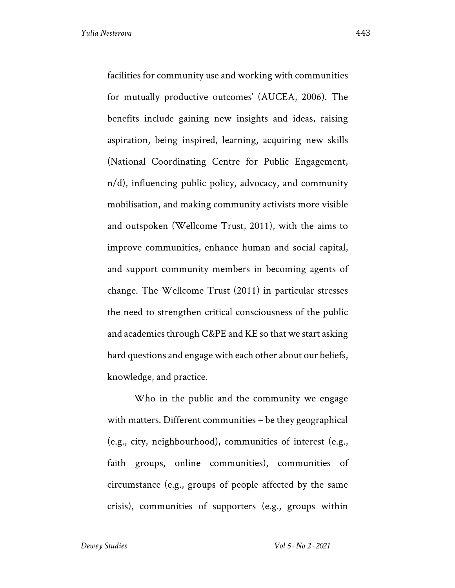facilities for community use and working with communities for mutually productive outcomes' (AUCEA, 2006). The benefits include gaining new insights and ideas, raising aspiration, being inspired, learning, acquiring new skills (National Coordinating Centre for Public Engagement, n/d), influencing public policy, advocacy, and community mobilisation, and making community activists more visible and outspoken (Wellcome Trust, 2011), with the aims to improve communities, enhance human and social capital, and support community members in becoming agents of change. The Wellcome Trust (2011) in particular stresses the need to strengthen critical consciousness of the public and academics through C&PE and KE so that we start asking hard questions and engage with each other about our beliefs, knowledge, and practice.

Who in the public and the community we engage with matters. Different communities – be they geographical (e.g., city, neighbourhood), communities of interest (e.g., faith groups, online communities), communities of circumstance (e.g., groups of people affected by the same crisis), communities of supporters (e.g., groups within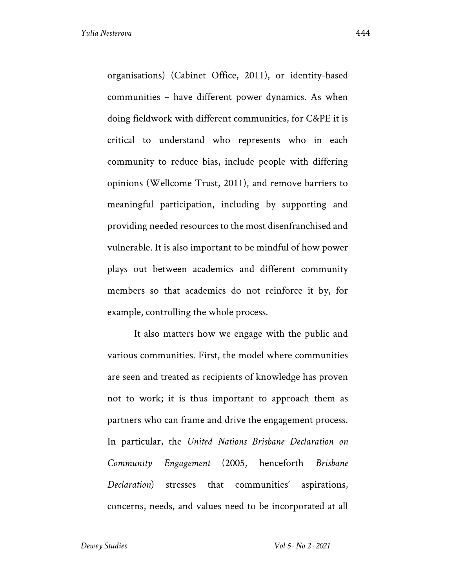organisations) (Cabinet Office, 2011), or identity-based communities – have different power dynamics. As when doing fieldwork with different communities, for C&PE it is critical to understand who represents who in each community to reduce bias, include people with differing opinions (Wellcome Trust, 2011), and remove barriers to meaningful participation, including by supporting and providing needed resources to the most disenfranchised and vulnerable. It is also important to be mindful of how power plays out between academics and different community members so that academics do not reinforce it by, for example, controlling the whole process.

It also matters how we engage with the public and various communities. First, the model where communities are seen and treated as recipients of knowledge has proven not to work; it is thus important to approach them as partners who can frame and drive the engagement process. In particular, the *United Nations Brisbane Declaration on Community Engagement* (2005, henceforth *Brisbane Declaration*) stresses that communities' aspirations, concerns, needs, and values need to be incorporated at all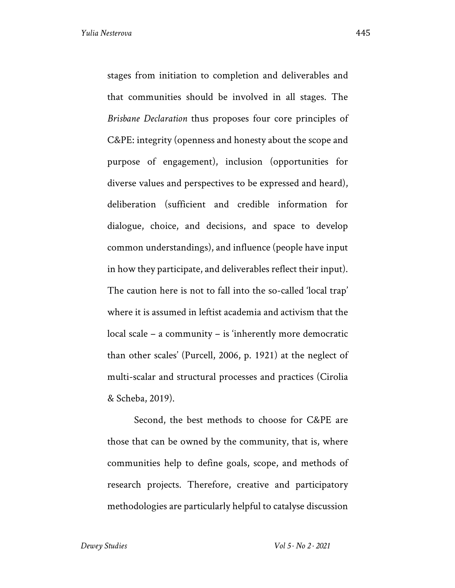stages from initiation to completion and deliverables and that communities should be involved in all stages. The *Brisbane Declaration* thus proposes four core principles of C&PE: integrity (openness and honesty about the scope and purpose of engagement), inclusion (opportunities for diverse values and perspectives to be expressed and heard), deliberation (sufficient and credible information for dialogue, choice, and decisions, and space to develop common understandings), and influence (people have input in how they participate, and deliverables reflect their input). The caution here is not to fall into the so-called 'local trap' where it is assumed in leftist academia and activism that the local scale – a community – is 'inherently more democratic than other scales' (Purcell, 2006, p. 1921) at the neglect of multi-scalar and structural processes and practices (Cirolia & Scheba, 2019).

Second, the best methods to choose for C&PE are those that can be owned by the community, that is, where communities help to define goals, scope, and methods of research projects. Therefore, creative and participatory methodologies are particularly helpful to catalyse discussion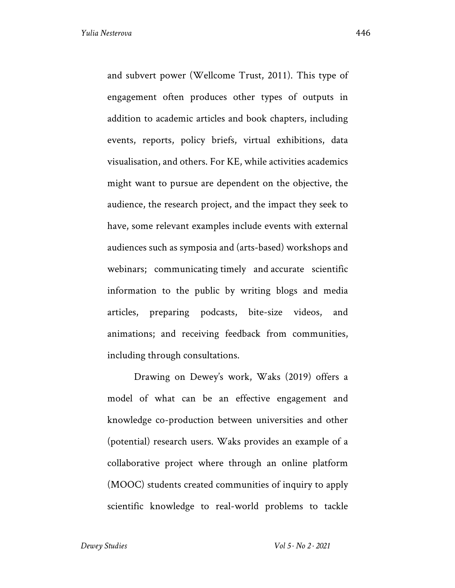and subvert power (Wellcome Trust, 2011). This type of engagement often produces other types of outputs in addition to academic articles and book chapters, including events, reports, policy briefs, virtual exhibitions, data visualisation, and others. For KE, while activities academics might want to pursue are dependent on the objective, the audience, the research project, and the impact they seek to have, some relevant examples include events with external audiences such as symposia and (arts-based) workshops and webinars; communicating timely and accurate scientific information to the public by writing blogs and media articles, preparing podcasts, bite-size videos, and animations; and receiving feedback from communities, including through consultations.

Drawing on Dewey's work, Waks (2019) offers a model of what can be an effective engagement and knowledge co-production between universities and other (potential) research users. Waks provides an example of a collaborative project where through an online platform (MOOC) students created communities of inquiry to apply scientific knowledge to real-world problems to tackle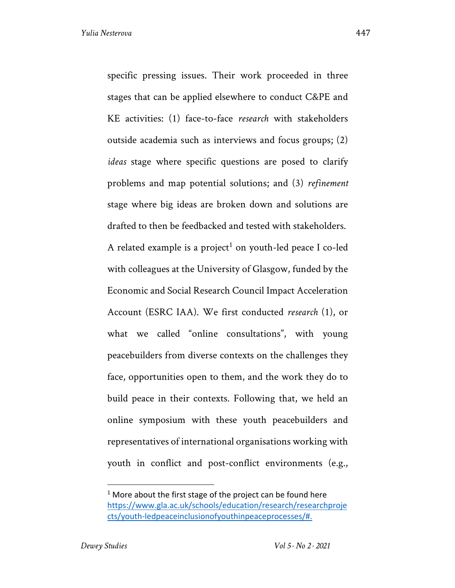specific pressing issues. Their work proceeded in three stages that can be applied elsewhere to conduct C&PE and KE activities: (1) face-to-face *research* with stakeholders outside academia such as interviews and focus groups; (2) *ideas* stage where specific questions are posed to clarify problems and map potential solutions; and (3) *refinement*  stage where big ideas are broken down and solutions are drafted to then be feedbacked and tested with stakeholders. A related example is a project<sup>1</sup> on youth-led peace I co-led with colleagues at the University of Glasgow, funded by the Economic and Social Research Council Impact Acceleration Account (ESRC IAA). We first conducted *research* (1), or what we called "online consultations", with young peacebuilders from diverse contexts on the challenges they face, opportunities open to them, and the work they do to build peace in their contexts. Following that, we held an online symposium with these youth peacebuilders and representatives of international organisations working with youth in conflict and post-conflict environments (e.g.,

 $1$  More about the first stage of the project can be found here https://www.gla.ac.uk/schools/education/research/researchproje cts/youth-ledpeaceinclusionofyouthinpeaceprocesses/#.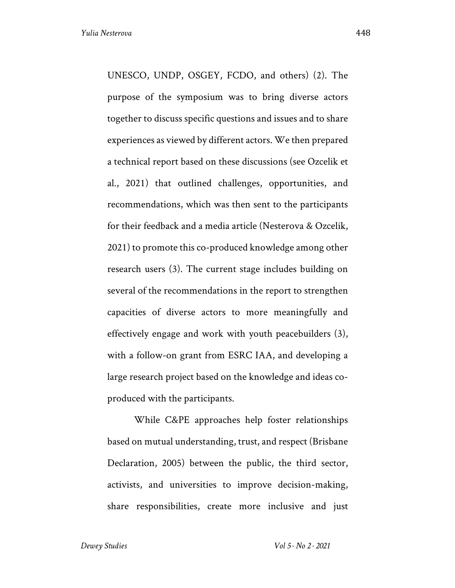UNESCO, UNDP, OSGEY, FCDO, and others) (2). The purpose of the symposium was to bring diverse actors together to discuss specific questions and issues and to share experiences as viewed by different actors. We then prepared a technical report based on these discussions (see Ozcelik et al., 2021) that outlined challenges, opportunities, and recommendations, which was then sent to the participants for their feedback and a media article (Nesterova & Ozcelik, 2021) to promote this co-produced knowledge among other research users (3). The current stage includes building on several of the recommendations in the report to strengthen capacities of diverse actors to more meaningfully and effectively engage and work with youth peacebuilders (3), with a follow-on grant from ESRC IAA, and developing a large research project based on the knowledge and ideas coproduced with the participants.

While C&PE approaches help foster relationships based on mutual understanding, trust, and respect (Brisbane Declaration, 2005) between the public, the third sector, activists, and universities to improve decision-making, share responsibilities, create more inclusive and just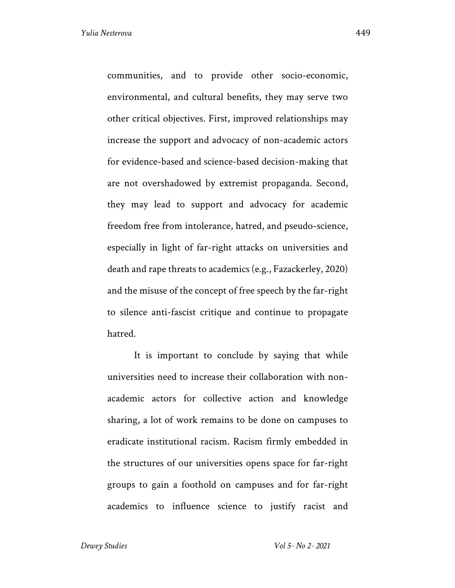communities, and to provide other socio-economic, environmental, and cultural benefits, they may serve two other critical objectives. First, improved relationships may increase the support and advocacy of non-academic actors for evidence-based and science-based decision-making that are not overshadowed by extremist propaganda. Second, they may lead to support and advocacy for academic freedom free from intolerance, hatred, and pseudo-science, especially in light of far-right attacks on universities and death and rape threats to academics (e.g., Fazackerley, 2020) and the misuse of the concept of free speech by the far-right to silence anti-fascist critique and continue to propagate hatred.

It is important to conclude by saying that while universities need to increase their collaboration with nonacademic actors for collective action and knowledge sharing, a lot of work remains to be done on campuses to eradicate institutional racism. Racism firmly embedded in the structures of our universities opens space for far-right groups to gain a foothold on campuses and for far-right academics to influence science to justify racist and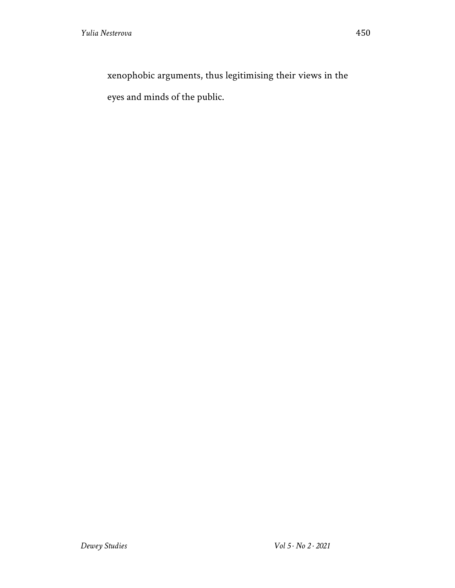xenophobic arguments, thus legitimising their views in the eyes and minds of the public.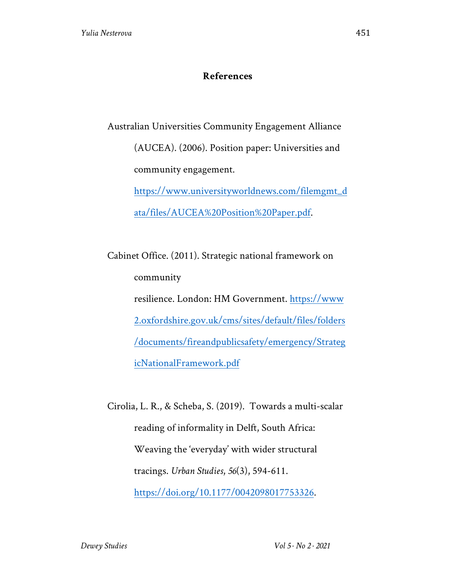## **References**

Australian Universities Community Engagement Alliance (AUCEA). (2006). Position paper: Universities and community engagement.

> https://www.universityworldnews.com/filemgmt\_d ata/files/AUCEA%20Position%20Paper.pdf.

Cabinet Office. (2011). Strategic national framework on community resilience. London: HM Government. https://www 2.oxfordshire.gov.uk/cms/sites/default/files/folders /documents/fireandpublicsafety/emergency/Strateg icNationalFramework.pdf

Cirolia, L. R., & Scheba, S. (2019). Towards a multi-scalar reading of informality in Delft, South Africa: Weaving the 'everyday' with wider structural tracings. *Urban Studies*, *56*(3), 594-611. https://doi.org/10.1177/0042098017753326.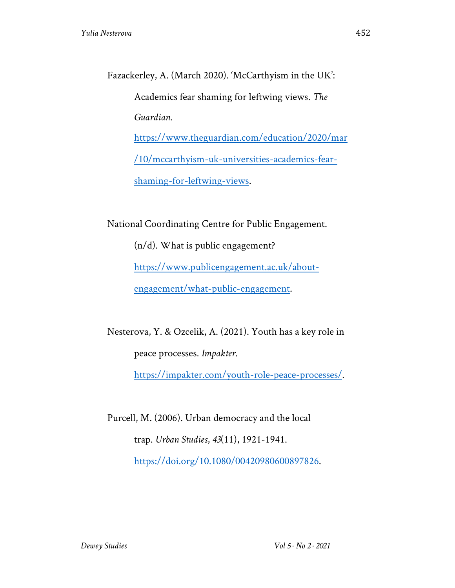Fazackerley, A. (March 2020). 'McCarthyism in the UK': Academics fear shaming for leftwing views. *The Guardian.* https://www.theguardian.com/education/2020/mar /10/mccarthyism-uk-universities-academics-fearshaming-for-leftwing-views.

National Coordinating Centre for Public Engagement.

(n/d). What is public engagement? https://www.publicengagement.ac.uk/aboutengagement/what-public-engagement.

Nesterova, Y. & Ozcelik, A. (2021). Youth has a key role in peace processes. *Impakter*.

https://impakter.com/youth-role-peace-processes/.

Purcell, M. (2006). Urban democracy and the local trap. *Urban Studies*, *43*(11), 1921-1941. https://doi.org/10.1080/00420980600897826.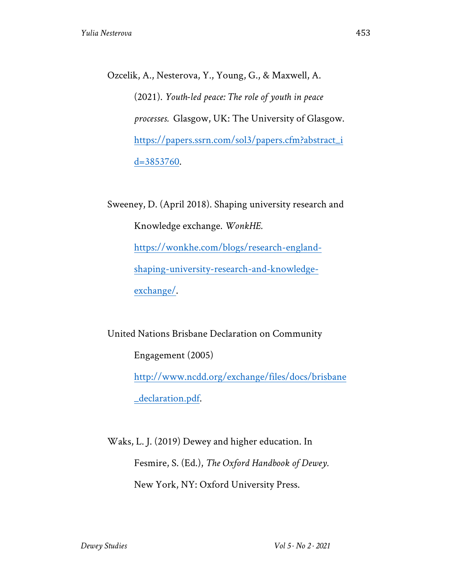Ozcelik, A., Nesterova, Y., Young, G., & Maxwell, A. (2021). *Youth-led peace: The role of youth in peace processes.* Glasgow, UK: The University of Glasgow. https://papers.ssrn.com/sol3/papers.cfm?abstract\_i d=3853760.

Sweeney, D. (April 2018). Shaping university research and Knowledge exchange. *WonkHE.*  https://wonkhe.com/blogs/research-englandshaping-university-research-and-knowledgeexchange/.

United Nations Brisbane Declaration on Community Engagement (2005) http://www.ncdd.org/exchange/files/docs/brisbane \_declaration.pdf.

Waks, L. J. (2019) Dewey and higher education. In Fesmire, S. (Ed.), *The Oxford Handbook of Dewey.* New York, NY: Oxford University Press.